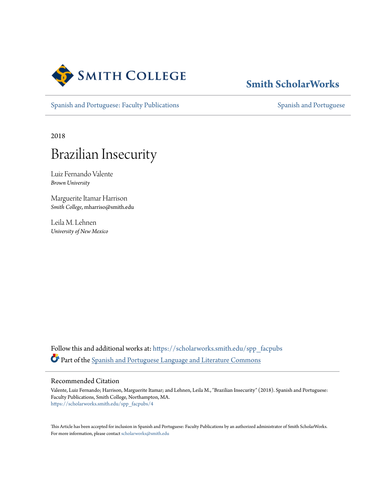

# **[Smith ScholarWorks](https://scholarworks.smith.edu?utm_source=scholarworks.smith.edu%2Fspp_facpubs%2F4&utm_medium=PDF&utm_campaign=PDFCoverPages)**

[Spanish and Portuguese: Faculty Publications](https://scholarworks.smith.edu/spp_facpubs?utm_source=scholarworks.smith.edu%2Fspp_facpubs%2F4&utm_medium=PDF&utm_campaign=PDFCoverPages) [Spanish and Portuguese](https://scholarworks.smith.edu/spp?utm_source=scholarworks.smith.edu%2Fspp_facpubs%2F4&utm_medium=PDF&utm_campaign=PDFCoverPages) Spanish and Portuguese

2018

# Brazilian Insecurity

Luiz Fernando Valente *Brown University*

Marguerite Itamar Harrison *Smith College*, mharriso@smith.edu

Leila M. Lehnen *University of New Mexico*

Follow this and additional works at: [https://scholarworks.smith.edu/spp\\_facpubs](https://scholarworks.smith.edu/spp_facpubs?utm_source=scholarworks.smith.edu%2Fspp_facpubs%2F4&utm_medium=PDF&utm_campaign=PDFCoverPages) Part of the [Spanish and Portuguese Language and Literature Commons](http://network.bepress.com/hgg/discipline/546?utm_source=scholarworks.smith.edu%2Fspp_facpubs%2F4&utm_medium=PDF&utm_campaign=PDFCoverPages)

## Recommended Citation

Valente, Luiz Fernando; Harrison, Marguerite Itamar; and Lehnen, Leila M., "Brazilian Insecurity" (2018). Spanish and Portuguese: Faculty Publications, Smith College, Northampton, MA. [https://scholarworks.smith.edu/spp\\_facpubs/4](https://scholarworks.smith.edu/spp_facpubs/4?utm_source=scholarworks.smith.edu%2Fspp_facpubs%2F4&utm_medium=PDF&utm_campaign=PDFCoverPages)

This Article has been accepted for inclusion in Spanish and Portuguese: Faculty Publications by an authorized administrator of Smith ScholarWorks. For more information, please contact [scholarworks@smith.edu](mailto:scholarworks@smith.edu)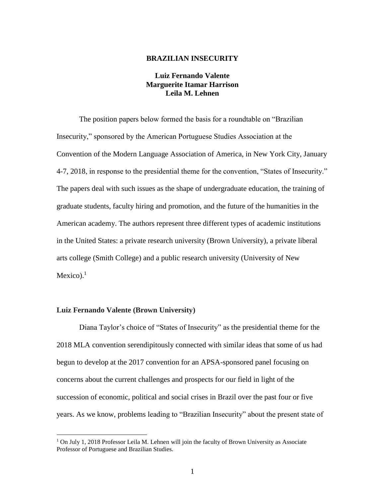### **BRAZILIAN INSECURITY**

# **Luiz Fernando Valente Marguerite Itamar Harrison Leila M. Lehnen**

The position papers below formed the basis for a roundtable on "Brazilian Insecurity," sponsored by the American Portuguese Studies Association at the Convention of the Modern Language Association of America, in New York City, January 4-7, 2018, in response to the presidential theme for the convention, "States of Insecurity." The papers deal with such issues as the shape of undergraduate education, the training of graduate students, faculty hiring and promotion, and the future of the humanities in the American academy. The authors represent three different types of academic institutions in the United States: a private research university (Brown University), a private liberal arts college (Smith College) and a public research university (University of New Mexico). $<sup>1</sup>$ </sup>

#### **Luiz Fernando Valente (Brown University)**

 $\overline{a}$ 

Diana Taylor's choice of "States of Insecurity" as the presidential theme for the 2018 MLA convention serendipitously connected with similar ideas that some of us had begun to develop at the 2017 convention for an APSA-sponsored panel focusing on concerns about the current challenges and prospects for our field in light of the succession of economic, political and social crises in Brazil over the past four or five years. As we know, problems leading to "Brazilian Insecurity" about the present state of

<sup>&</sup>lt;sup>1</sup> On July 1, 2018 Professor Leila M. Lehnen will join the faculty of Brown University as Associate Professor of Portuguese and Brazilian Studies.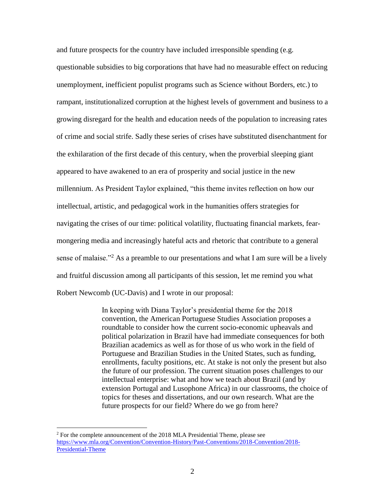and future prospects for the country have included irresponsible spending (e.g. questionable subsidies to big corporations that have had no measurable effect on reducing unemployment, inefficient populist programs such as Science without Borders, etc.) to rampant, institutionalized corruption at the highest levels of government and business to a growing disregard for the health and education needs of the population to increasing rates of crime and social strife. Sadly these series of crises have substituted disenchantment for the exhilaration of the first decade of this century, when the proverbial sleeping giant appeared to have awakened to an era of prosperity and social justice in the new millennium. As President Taylor explained, "this theme invites reflection on how our intellectual, artistic, and pedagogical work in the humanities offers strategies for navigating the crises of our time: political volatility, fluctuating financial markets, fearmongering media and increasingly hateful acts and rhetoric that contribute to a general sense of malaise."<sup>2</sup> As a preamble to our presentations and what I am sure will be a lively and fruitful discussion among all participants of this session, let me remind you what Robert Newcomb (UC-Davis) and I wrote in our proposal:

> In keeping with Diana Taylor's presidential theme for the 2018 convention, the American Portuguese Studies Association proposes a roundtable to consider how the current socio-economic upheavals and political polarization in Brazil have had immediate consequences for both Brazilian academics as well as for those of us who work in the field of Portuguese and Brazilian Studies in the United States, such as funding, enrollments, faculty positions, etc. At stake is not only the present but also the future of our profession. The current situation poses challenges to our intellectual enterprise: what and how we teach about Brazil (and by extension Portugal and Lusophone Africa) in our classrooms, the choice of topics for theses and dissertations, and our own research. What are the future prospects for our field? Where do we go from here?

 $\overline{a}$ 

 $2$  For the complete announcement of the 2018 MLA Presidential Theme, please see [https://www.mla.org/Convention/Convention-History/Past-Conventions/2018-Convention/2018-](https://www.mla.org/Convention/Convention-History/Past-Conventions/2018-Convention/2018-Presidential-Theme) [Presidential-Theme](https://www.mla.org/Convention/Convention-History/Past-Conventions/2018-Convention/2018-Presidential-Theme)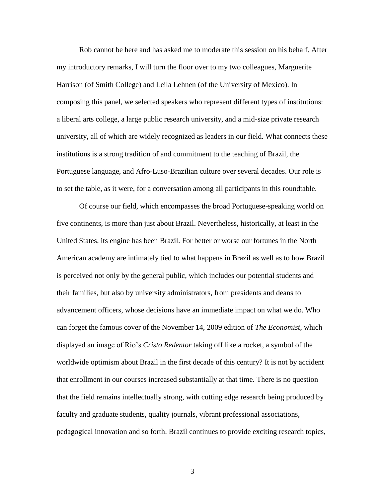Rob cannot be here and has asked me to moderate this session on his behalf. After my introductory remarks, I will turn the floor over to my two colleagues, Marguerite Harrison (of Smith College) and Leila Lehnen (of the University of Mexico). In composing this panel, we selected speakers who represent different types of institutions: a liberal arts college, a large public research university, and a mid-size private research university, all of which are widely recognized as leaders in our field. What connects these institutions is a strong tradition of and commitment to the teaching of Brazil, the Portuguese language, and Afro-Luso-Brazilian culture over several decades. Our role is to set the table, as it were, for a conversation among all participants in this roundtable.

Of course our field, which encompasses the broad Portuguese-speaking world on five continents, is more than just about Brazil. Nevertheless, historically, at least in the United States, its engine has been Brazil. For better or worse our fortunes in the North American academy are intimately tied to what happens in Brazil as well as to how Brazil is perceived not only by the general public, which includes our potential students and their families, but also by university administrators, from presidents and deans to advancement officers, whose decisions have an immediate impact on what we do. Who can forget the famous cover of the November 14, 2009 edition of *The Economist*, which displayed an image of Rio's *Cristo Redentor* taking off like a rocket, a symbol of the worldwide optimism about Brazil in the first decade of this century? It is not by accident that enrollment in our courses increased substantially at that time. There is no question that the field remains intellectually strong, with cutting edge research being produced by faculty and graduate students, quality journals, vibrant professional associations, pedagogical innovation and so forth. Brazil continues to provide exciting research topics,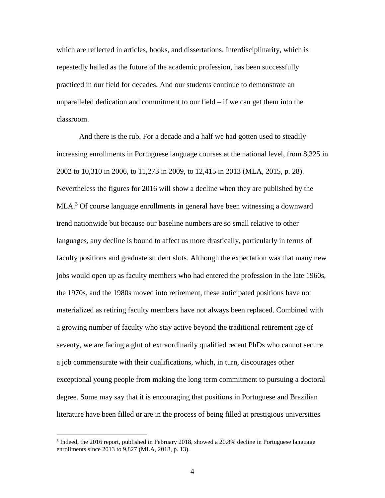which are reflected in articles, books, and dissertations. Interdisciplinarity, which is repeatedly hailed as the future of the academic profession, has been successfully practiced in our field for decades. And our students continue to demonstrate an unparalleled dedication and commitment to our field – if we can get them into the classroom.

And there is the rub. For a decade and a half we had gotten used to steadily increasing enrollments in Portuguese language courses at the national level, from 8,325 in 2002 to 10,310 in 2006, to 11,273 in 2009, to 12,415 in 2013 (MLA, 2015, p. 28). Nevertheless the figures for 2016 will show a decline when they are published by the MLA.<sup>3</sup> Of course language enrollments in general have been witnessing a downward trend nationwide but because our baseline numbers are so small relative to other languages, any decline is bound to affect us more drastically, particularly in terms of faculty positions and graduate student slots. Although the expectation was that many new jobs would open up as faculty members who had entered the profession in the late 1960s, the 1970s, and the 1980s moved into retirement, these anticipated positions have not materialized as retiring faculty members have not always been replaced. Combined with a growing number of faculty who stay active beyond the traditional retirement age of seventy, we are facing a glut of extraordinarily qualified recent PhDs who cannot secure a job commensurate with their qualifications, which, in turn, discourages other exceptional young people from making the long term commitment to pursuing a doctoral degree. Some may say that it is encouraging that positions in Portuguese and Brazilian literature have been filled or are in the process of being filled at prestigious universities

 $\overline{a}$ 

<sup>&</sup>lt;sup>3</sup> Indeed, the 2016 report, published in February 2018, showed a 20.8% decline in Portuguese language enrollments since 2013 to 9,827 (MLA, 2018, p. 13).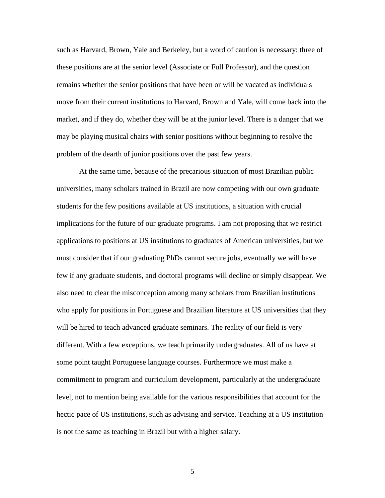such as Harvard, Brown, Yale and Berkeley, but a word of caution is necessary: three of these positions are at the senior level (Associate or Full Professor), and the question remains whether the senior positions that have been or will be vacated as individuals move from their current institutions to Harvard, Brown and Yale, will come back into the market, and if they do, whether they will be at the junior level. There is a danger that we may be playing musical chairs with senior positions without beginning to resolve the problem of the dearth of junior positions over the past few years.

At the same time, because of the precarious situation of most Brazilian public universities, many scholars trained in Brazil are now competing with our own graduate students for the few positions available at US institutions, a situation with crucial implications for the future of our graduate programs. I am not proposing that we restrict applications to positions at US institutions to graduates of American universities, but we must consider that if our graduating PhDs cannot secure jobs, eventually we will have few if any graduate students, and doctoral programs will decline or simply disappear. We also need to clear the misconception among many scholars from Brazilian institutions who apply for positions in Portuguese and Brazilian literature at US universities that they will be hired to teach advanced graduate seminars. The reality of our field is very different. With a few exceptions, we teach primarily undergraduates. All of us have at some point taught Portuguese language courses. Furthermore we must make a commitment to program and curriculum development, particularly at the undergraduate level, not to mention being available for the various responsibilities that account for the hectic pace of US institutions, such as advising and service. Teaching at a US institution is not the same as teaching in Brazil but with a higher salary.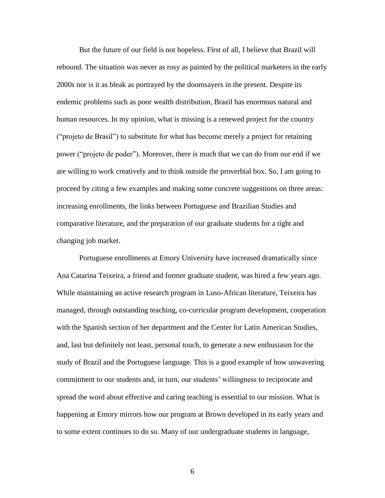But the future of our field is not hopeless. First of all, I believe that Brazil will rebound. The situation was never as rosy as painted by the political marketers in the early 2000s nor is it as bleak as portrayed by the doomsayers in the present. Despite its endemic problems such as poor wealth distribution, Brazil has enormous natural and human resources. In my opinion, what is missing is a renewed project for the country ("projeto de Brasil") to substitute for what has become merely a project for retaining power ("projeto de poder"). Moreover, there is much that we can do from our end if we are willing to work creatively and to think outside the proverbial box. So, I am going to proceed by citing a few examples and making some concrete suggestions on three areas: increasing enrollments, the links between Portuguese and Brazilian Studies and comparative literature, and the preparation of our graduate students for a tight and changing job market.

Portuguese enrollments at Emory University have increased dramatically since Ana Catarina Teixeira, a friend and former graduate student, was hired a few years ago. While maintaining an active research program in Luso-African literature, Teixeira has managed, through outstanding teaching, co-curricular program development, cooperation with the Spanish section of her department and the Center for Latin American Studies, and, last but definitely not least, personal touch, to generate a new enthusiasm for the study of Brazil and the Portuguese language. This is a good example of how unwavering commitment to our students and, in turn, our students' willingness to reciprocate and spread the word about effective and caring teaching is essential to our mission. What is happening at Emory mirrors how our program at Brown developed in its early years and to some extent continues to do so. Many of our undergraduate students in language,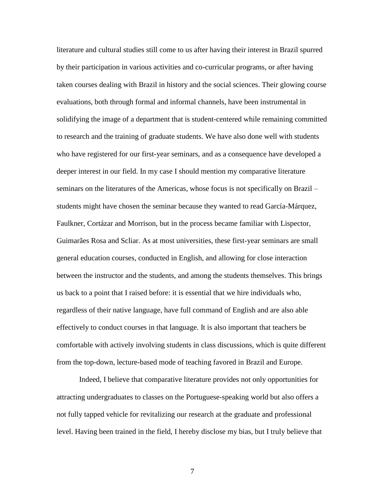literature and cultural studies still come to us after having their interest in Brazil spurred by their participation in various activities and co-curricular programs, or after having taken courses dealing with Brazil in history and the social sciences. Their glowing course evaluations, both through formal and informal channels, have been instrumental in solidifying the image of a department that is student-centered while remaining committed to research and the training of graduate students. We have also done well with students who have registered for our first-year seminars, and as a consequence have developed a deeper interest in our field. In my case I should mention my comparative literature seminars on the literatures of the Americas, whose focus is not specifically on Brazil – students might have chosen the seminar because they wanted to read García-Márquez, Faulkner, Cortázar and Morrison, but in the process became familiar with Lispector, Guimarães Rosa and Scliar. As at most universities, these first-year seminars are small general education courses, conducted in English, and allowing for close interaction between the instructor and the students, and among the students themselves. This brings us back to a point that I raised before: it is essential that we hire individuals who, regardless of their native language, have full command of English and are also able effectively to conduct courses in that language. It is also important that teachers be comfortable with actively involving students in class discussions, which is quite different from the top-down, lecture-based mode of teaching favored in Brazil and Europe.

Indeed, I believe that comparative literature provides not only opportunities for attracting undergraduates to classes on the Portuguese-speaking world but also offers a not fully tapped vehicle for revitalizing our research at the graduate and professional level. Having been trained in the field, I hereby disclose my bias, but I truly believe that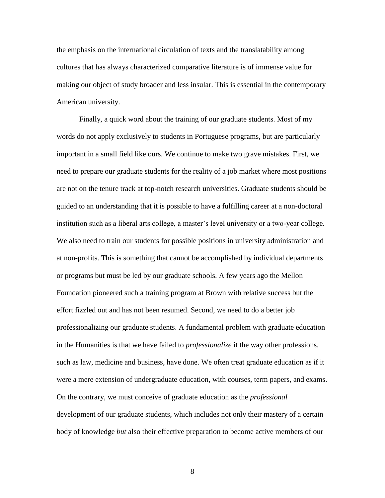the emphasis on the international circulation of texts and the translatability among cultures that has always characterized comparative literature is of immense value for making our object of study broader and less insular. This is essential in the contemporary American university.

Finally, a quick word about the training of our graduate students. Most of my words do not apply exclusively to students in Portuguese programs, but are particularly important in a small field like ours. We continue to make two grave mistakes. First, we need to prepare our graduate students for the reality of a job market where most positions are not on the tenure track at top-notch research universities. Graduate students should be guided to an understanding that it is possible to have a fulfilling career at a non-doctoral institution such as a liberal arts college, a master's level university or a two-year college. We also need to train our students for possible positions in university administration and at non-profits. This is something that cannot be accomplished by individual departments or programs but must be led by our graduate schools. A few years ago the Mellon Foundation pioneered such a training program at Brown with relative success but the effort fizzled out and has not been resumed. Second, we need to do a better job professionalizing our graduate students. A fundamental problem with graduate education in the Humanities is that we have failed to *professionalize* it the way other professions, such as law, medicine and business, have done. We often treat graduate education as if it were a mere extension of undergraduate education, with courses, term papers, and exams. On the contrary, we must conceive of graduate education as the *professional*  development of our graduate students, which includes not only their mastery of a certain body of knowledge *but* also their effective preparation to become active members of our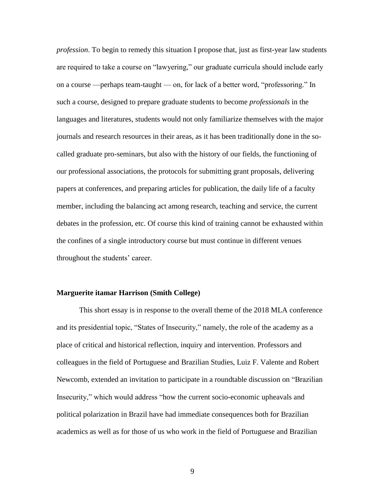*profession*. To begin to remedy this situation I propose that, just as first-year law students are required to take a course on "lawyering," our graduate curricula should include early on a course —perhaps team-taught — on, for lack of a better word, "professoring." In such a course, designed to prepare graduate students to become *professionals* in the languages and literatures, students would not only familiarize themselves with the major journals and research resources in their areas, as it has been traditionally done in the socalled graduate pro-seminars, but also with the history of our fields, the functioning of our professional associations, the protocols for submitting grant proposals, delivering papers at conferences, and preparing articles for publication, the daily life of a faculty member, including the balancing act among research, teaching and service, the current debates in the profession, etc. Of course this kind of training cannot be exhausted within the confines of a single introductory course but must continue in different venues throughout the students' career.

### **Marguerite itamar Harrison (Smith College)**

This short essay is in response to the overall theme of the 2018 MLA conference and its presidential topic, "States of Insecurity," namely, the role of the academy as a place of critical and historical reflection, inquiry and intervention. Professors and colleagues in the field of Portuguese and Brazilian Studies, Luiz F. Valente and Robert Newcomb, extended an invitation to participate in a roundtable discussion on "Brazilian Insecurity," which would address "how the current socio-economic upheavals and political polarization in Brazil have had immediate consequences both for Brazilian academics as well as for those of us who work in the field of Portuguese and Brazilian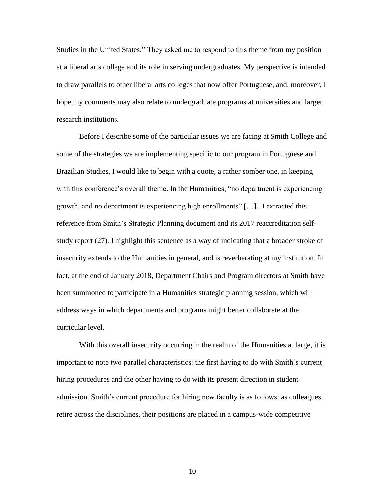Studies in the United States." They asked me to respond to this theme from my position at a liberal arts college and its role in serving undergraduates. My perspective is intended to draw parallels to other liberal arts colleges that now offer Portuguese, and, moreover, I hope my comments may also relate to undergraduate programs at universities and larger research institutions.

Before I describe some of the particular issues we are facing at Smith College and some of the strategies we are implementing specific to our program in Portuguese and Brazilian Studies, I would like to begin with a quote, a rather somber one, in keeping with this conference's overall theme. In the Humanities, "no department is experiencing growth, and no department is experiencing high enrollments" […]. I extracted this reference from Smith's Strategic Planning document and its 2017 reaccreditation selfstudy report (27). I highlight this sentence as a way of indicating that a broader stroke of insecurity extends to the Humanities in general, and is reverberating at my institution. In fact, at the end of January 2018, Department Chairs and Program directors at Smith have been summoned to participate in a Humanities strategic planning session, which will address ways in which departments and programs might better collaborate at the curricular level.

With this overall insecurity occurring in the realm of the Humanities at large, it is important to note two parallel characteristics: the first having to do with Smith's current hiring procedures and the other having to do with its present direction in student admission. Smith's current procedure for hiring new faculty is as follows: as colleagues retire across the disciplines, their positions are placed in a campus-wide competitive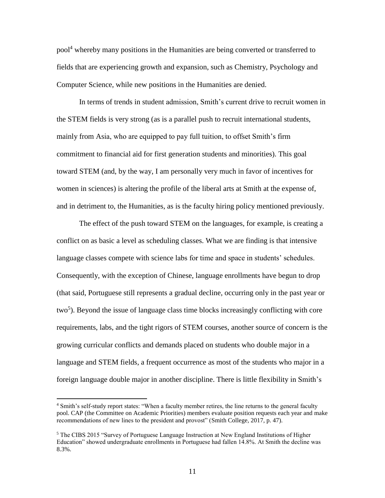pool<sup>4</sup> whereby many positions in the Humanities are being converted or transferred to fields that are experiencing growth and expansion, such as Chemistry, Psychology and Computer Science, while new positions in the Humanities are denied.

In terms of trends in student admission, Smith's current drive to recruit women in the STEM fields is very strong (as is a parallel push to recruit international students, mainly from Asia, who are equipped to pay full tuition, to offset Smith's firm commitment to financial aid for first generation students and minorities). This goal toward STEM (and, by the way, I am personally very much in favor of incentives for women in sciences) is altering the profile of the liberal arts at Smith at the expense of, and in detriment to, the Humanities, as is the faculty hiring policy mentioned previously.

The effect of the push toward STEM on the languages, for example, is creating a conflict on as basic a level as scheduling classes. What we are finding is that intensive language classes compete with science labs for time and space in students' schedules. Consequently, with the exception of Chinese, language enrollments have begun to drop (that said, Portuguese still represents a gradual decline, occurring only in the past year or two<sup>5</sup>). Beyond the issue of language class time blocks increasingly conflicting with core requirements, labs, and the tight rigors of STEM courses, another source of concern is the growing curricular conflicts and demands placed on students who double major in a language and STEM fields, a frequent occurrence as most of the students who major in a foreign language double major in another discipline. There is little flexibility in Smith's

 $\overline{a}$ 

<sup>&</sup>lt;sup>4</sup> Smith's self-study report states: "When a faculty member retires, the line returns to the general faculty pool. CAP (the Committee on Academic Priorities) members evaluate position requests each year and make recommendations of new lines to the president and provost" (Smith College, 2017, p. 47).

<sup>&</sup>lt;sup>5</sup> The CIBS 2015 "Survey of Portuguese Language Instruction at New England Institutions of Higher Education" showed undergraduate enrollments in Portuguese had fallen 14.8%. At Smith the decline was 8.3%.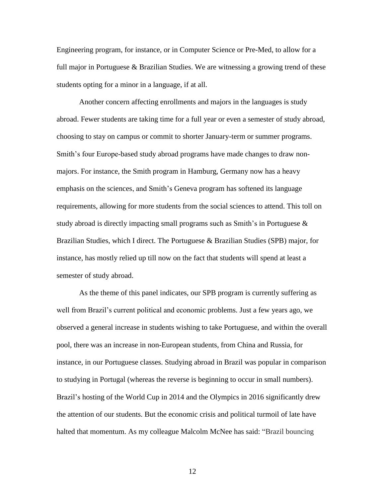Engineering program, for instance, or in Computer Science or Pre-Med, to allow for a full major in Portuguese & Brazilian Studies. We are witnessing a growing trend of these students opting for a minor in a language, if at all.

Another concern affecting enrollments and majors in the languages is study abroad. Fewer students are taking time for a full year or even a semester of study abroad, choosing to stay on campus or commit to shorter January-term or summer programs. Smith's four Europe-based study abroad programs have made changes to draw nonmajors. For instance, the Smith program in Hamburg, Germany now has a heavy emphasis on the sciences, and Smith's Geneva program has softened its language requirements, allowing for more students from the social sciences to attend. This toll on study abroad is directly impacting small programs such as Smith's in Portuguese & Brazilian Studies, which I direct. The Portuguese & Brazilian Studies (SPB) major, for instance, has mostly relied up till now on the fact that students will spend at least a semester of study abroad.

As the theme of this panel indicates, our SPB program is currently suffering as well from Brazil's current political and economic problems. Just a few years ago, we observed a general increase in students wishing to take Portuguese, and within the overall pool, there was an increase in non-European students, from China and Russia, for instance, in our Portuguese classes. Studying abroad in Brazil was popular in comparison to studying in Portugal (whereas the reverse is beginning to occur in small numbers). Brazil's hosting of the World Cup in 2014 and the Olympics in 2016 significantly drew the attention of our students. But the economic crisis and political turmoil of late have halted that momentum. As my colleague Malcolm McNee has said: "Brazil bouncing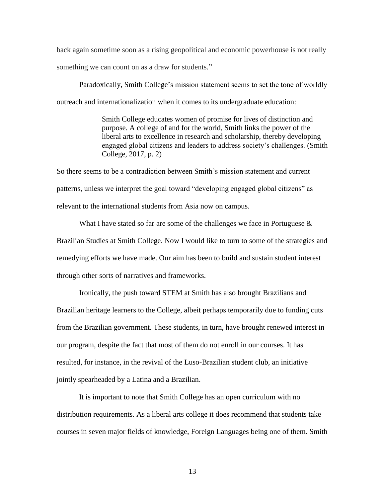back again sometime soon as a rising geopolitical and economic powerhouse is not really something we can count on as a draw for students."

Paradoxically, Smith College's mission statement seems to set the tone of worldly outreach and internationalization when it comes to its undergraduate education:

> Smith College educates women of promise for lives of distinction and purpose. A college of and for the world, Smith links the power of the liberal arts to excellence in research and scholarship, thereby developing engaged global citizens and leaders to address society's challenges. (Smith College, 2017, p. 2)

So there seems to be a contradiction between Smith's mission statement and current patterns, unless we interpret the goal toward "developing engaged global citizens" as relevant to the international students from Asia now on campus.

What I have stated so far are some of the challenges we face in Portuguese  $\&$ Brazilian Studies at Smith College. Now I would like to turn to some of the strategies and remedying efforts we have made. Our aim has been to build and sustain student interest through other sorts of narratives and frameworks.

Ironically, the push toward STEM at Smith has also brought Brazilians and Brazilian heritage learners to the College, albeit perhaps temporarily due to funding cuts from the Brazilian government. These students, in turn, have brought renewed interest in our program, despite the fact that most of them do not enroll in our courses. It has resulted, for instance, in the revival of the Luso-Brazilian student club, an initiative jointly spearheaded by a Latina and a Brazilian.

It is important to note that Smith College has an open curriculum with no distribution requirements. As a liberal arts college it does recommend that students take courses in seven major fields of knowledge, Foreign Languages being one of them. Smith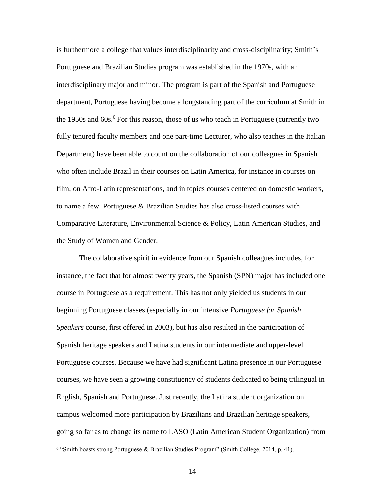is furthermore a college that values interdisciplinarity and cross-disciplinarity; Smith's Portuguese and Brazilian Studies program was established in the 1970s, with an interdisciplinary major and minor. The program is part of the Spanish and Portuguese department, Portuguese having become a longstanding part of the curriculum at Smith in the 1950s and 60s.<sup>6</sup> For this reason, those of us who teach in Portuguese (currently two fully tenured faculty members and one part-time Lecturer, who also teaches in the Italian Department) have been able to count on the collaboration of our colleagues in Spanish who often include Brazil in their courses on Latin America, for instance in courses on film, on Afro-Latin representations, and in topics courses centered on domestic workers, to name a few. Portuguese & Brazilian Studies has also cross-listed courses with Comparative Literature, Environmental Science & Policy, Latin American Studies, and the Study of Women and Gender.

The collaborative spirit in evidence from our Spanish colleagues includes, for instance, the fact that for almost twenty years, the Spanish (SPN) major has included one course in Portuguese as a requirement. This has not only yielded us students in our beginning Portuguese classes (especially in our intensive *Portuguese for Spanish Speakers* course, first offered in 2003), but has also resulted in the participation of Spanish heritage speakers and Latina students in our intermediate and upper-level Portuguese courses. Because we have had significant Latina presence in our Portuguese courses, we have seen a growing constituency of students dedicated to being trilingual in English, Spanish and Portuguese. Just recently, the Latina student organization on campus welcomed more participation by Brazilians and Brazilian heritage speakers, going so far as to change its name to LASO (Latin American Student Organization) from  $\overline{a}$ 

<sup>6</sup> "Smith boasts strong Portuguese & Brazilian Studies Program" (Smith College, 2014, p. 41).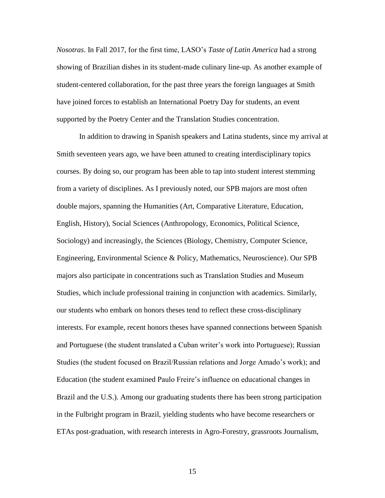*Nosotras*. In Fall 2017, for the first time, LASO's *Taste of Latin America* had a strong showing of Brazilian dishes in its student-made culinary line-up. As another example of student-centered collaboration, for the past three years the foreign languages at Smith have joined forces to establish an International Poetry Day for students, an event supported by the Poetry Center and the Translation Studies concentration.

In addition to drawing in Spanish speakers and Latina students, since my arrival at Smith seventeen years ago, we have been attuned to creating interdisciplinary topics courses. By doing so, our program has been able to tap into student interest stemming from a variety of disciplines. As I previously noted, our SPB majors are most often double majors, spanning the Humanities (Art, Comparative Literature, Education, English, History), Social Sciences (Anthropology, Economics, Political Science, Sociology) and increasingly, the Sciences (Biology, Chemistry, Computer Science, Engineering, Environmental Science & Policy, Mathematics, Neuroscience). Our SPB majors also participate in concentrations such as Translation Studies and Museum Studies, which include professional training in conjunction with academics. Similarly, our students who embark on honors theses tend to reflect these cross-disciplinary interests. For example, recent honors theses have spanned connections between Spanish and Portuguese (the student translated a Cuban writer's work into Portuguese); Russian Studies (the student focused on Brazil/Russian relations and Jorge Amado's work); and Education (the student examined Paulo Freire's influence on educational changes in Brazil and the U.S.). Among our graduating students there has been strong participation in the Fulbright program in Brazil, yielding students who have become researchers or ETAs post-graduation, with research interests in Agro-Forestry, grassroots Journalism,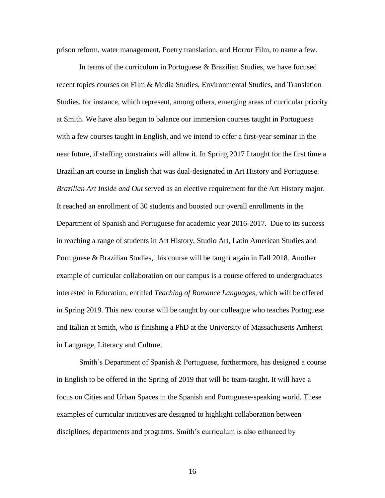prison reform, water management, Poetry translation, and Horror Film, to name a few.

In terms of the curriculum in Portuguese & Brazilian Studies, we have focused recent topics courses on Film & Media Studies, Environmental Studies, and Translation Studies, for instance, which represent, among others, emerging areas of curricular priority at Smith. We have also begun to balance our immersion courses taught in Portuguese with a few courses taught in English, and we intend to offer a first-year seminar in the near future, if staffing constraints will allow it. In Spring 2017 I taught for the first time a Brazilian art course in English that was dual-designated in Art History and Portuguese. *Brazilian Art Inside and Out* served as an elective requirement for the Art History major. It reached an enrollment of 30 students and boosted our overall enrollments in the Department of Spanish and Portuguese for academic year 2016-2017. Due to its success in reaching a range of students in Art History, Studio Art, Latin American Studies and Portuguese & Brazilian Studies, this course will be taught again in Fall 2018. Another example of curricular collaboration on our campus is a course offered to undergraduates interested in Education, entitled *Teaching of Romance Languages,* which will be offered in Spring 2019. This new course will be taught by our colleague who teaches Portuguese and Italian at Smith, who is finishing a PhD at the University of Massachusetts Amherst in Language, Literacy and Culture.

Smith's Department of Spanish & Portuguese, furthermore, has designed a course in English to be offered in the Spring of 2019 that will be team-taught. It will have a focus on Cities and Urban Spaces in the Spanish and Portuguese-speaking world. These examples of curricular initiatives are designed to highlight collaboration between disciplines, departments and programs. Smith's curriculum is also enhanced by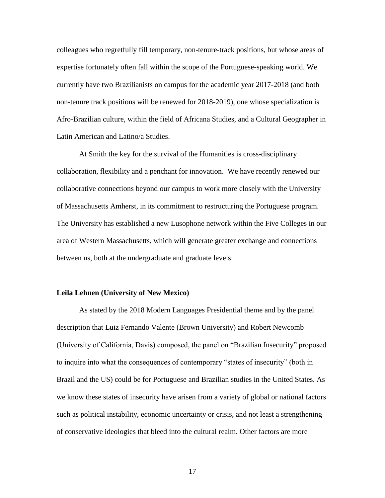colleagues who regretfully fill temporary, non-tenure-track positions, but whose areas of expertise fortunately often fall within the scope of the Portuguese-speaking world. We currently have two Brazilianists on campus for the academic year 2017-2018 (and both non-tenure track positions will be renewed for 2018-2019), one whose specialization is Afro-Brazilian culture, within the field of Africana Studies, and a Cultural Geographer in Latin American and Latino/a Studies.

At Smith the key for the survival of the Humanities is cross-disciplinary collaboration, flexibility and a penchant for innovation. We have recently renewed our collaborative connections beyond our campus to work more closely with the University of Massachusetts Amherst, in its commitment to restructuring the Portuguese program. The University has established a new Lusophone network within the Five Colleges in our area of Western Massachusetts, which will generate greater exchange and connections between us, both at the undergraduate and graduate levels.

#### **Leila Lehnen (University of New Mexico)**

As stated by the 2018 Modern Languages Presidential theme and by the panel description that Luiz Fernando Valente (Brown University) and Robert Newcomb (University of California, Davis) composed, the panel on "Brazilian Insecurity" proposed to inquire into what the consequences of contemporary "states of insecurity" (both in Brazil and the US) could be for Portuguese and Brazilian studies in the United States. As we know these states of insecurity have arisen from a variety of global or national factors such as political instability, economic uncertainty or crisis, and not least a strengthening of conservative ideologies that bleed into the cultural realm. Other factors are more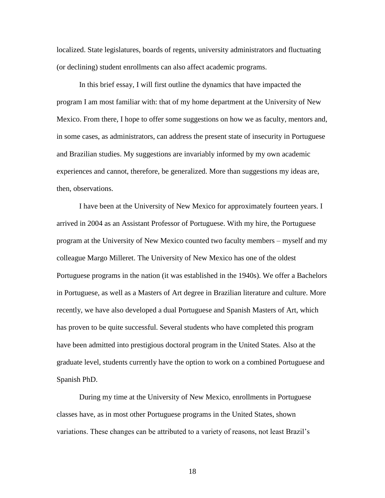localized. State legislatures, boards of regents, university administrators and fluctuating (or declining) student enrollments can also affect academic programs.

In this brief essay, I will first outline the dynamics that have impacted the program I am most familiar with: that of my home department at the University of New Mexico. From there, I hope to offer some suggestions on how we as faculty, mentors and, in some cases, as administrators, can address the present state of insecurity in Portuguese and Brazilian studies. My suggestions are invariably informed by my own academic experiences and cannot, therefore, be generalized. More than suggestions my ideas are, then, observations.

I have been at the University of New Mexico for approximately fourteen years. I arrived in 2004 as an Assistant Professor of Portuguese. With my hire, the Portuguese program at the University of New Mexico counted two faculty members – myself and my colleague Margo Milleret. The University of New Mexico has one of the oldest Portuguese programs in the nation (it was established in the 1940s). We offer a Bachelors in Portuguese, as well as a Masters of Art degree in Brazilian literature and culture. More recently, we have also developed a dual Portuguese and Spanish Masters of Art, which has proven to be quite successful. Several students who have completed this program have been admitted into prestigious doctoral program in the United States. Also at the graduate level, students currently have the option to work on a combined Portuguese and Spanish PhD.

During my time at the University of New Mexico, enrollments in Portuguese classes have, as in most other Portuguese programs in the United States, shown variations. These changes can be attributed to a variety of reasons, not least Brazil's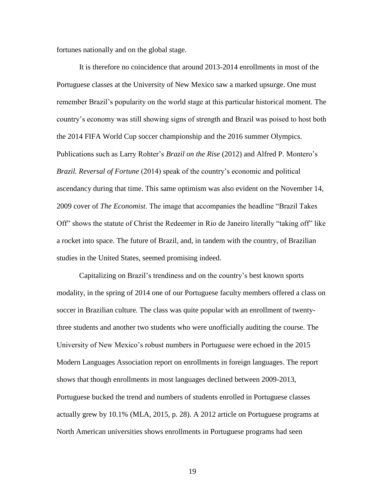fortunes nationally and on the global stage.

It is therefore no coincidence that around 2013-2014 enrollments in most of the Portuguese classes at the University of New Mexico saw a marked upsurge. One must remember Brazil's popularity on the world stage at this particular historical moment. The country's economy was still showing signs of strength and Brazil was poised to host both the 2014 FIFA World Cup soccer championship and the 2016 summer Olympics. Publications such as Larry Rohter's *Brazil on the Rise* (2012) and Alfred P. Montero's *Brazil. Reversal of Fortune* (2014) speak of the country's economic and political ascendancy during that time. This same optimism was also evident on the November 14, 2009 cover of *The Economist*. The image that accompanies the headline "Brazil Takes Off" shows the statute of Christ the Redeemer in Rio de Janeiro literally "taking off" like a rocket into space. The future of Brazil, and, in tandem with the country, of Brazilian studies in the United States, seemed promising indeed.

Capitalizing on Brazil's trendiness and on the country's best known sports modality, in the spring of 2014 one of our Portuguese faculty members offered a class on soccer in Brazilian culture. The class was quite popular with an enrollment of twentythree students and another two students who were unofficially auditing the course. The University of New Mexico's robust numbers in Portuguese were echoed in the 2015 Modern Languages Association report on enrollments in foreign languages. The report shows that though enrollments in most languages declined between 2009-2013, Portuguese bucked the trend and numbers of students enrolled in Portuguese classes actually grew by 10.1% (MLA, 2015, p. 28). A 2012 article on Portuguese programs at North American universities shows enrollments in Portuguese programs had seen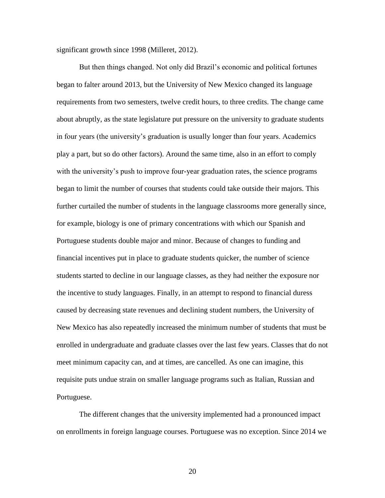significant growth since 1998 (Milleret, 2012).

But then things changed. Not only did Brazil's economic and political fortunes began to falter around 2013, but the University of New Mexico changed its language requirements from two semesters, twelve credit hours, to three credits. The change came about abruptly, as the state legislature put pressure on the university to graduate students in four years (the university's graduation is usually longer than four years. Academics play a part, but so do other factors). Around the same time, also in an effort to comply with the university's push to improve four-year graduation rates, the science programs began to limit the number of courses that students could take outside their majors. This further curtailed the number of students in the language classrooms more generally since, for example, biology is one of primary concentrations with which our Spanish and Portuguese students double major and minor. Because of changes to funding and financial incentives put in place to graduate students quicker, the number of science students started to decline in our language classes, as they had neither the exposure nor the incentive to study languages. Finally, in an attempt to respond to financial duress caused by decreasing state revenues and declining student numbers, the University of New Mexico has also repeatedly increased the minimum number of students that must be enrolled in undergraduate and graduate classes over the last few years. Classes that do not meet minimum capacity can, and at times, are cancelled. As one can imagine, this requisite puts undue strain on smaller language programs such as Italian, Russian and Portuguese.

The different changes that the university implemented had a pronounced impact on enrollments in foreign language courses. Portuguese was no exception. Since 2014 we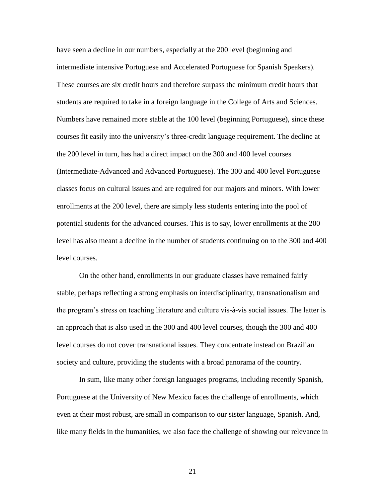have seen a decline in our numbers, especially at the 200 level (beginning and intermediate intensive Portuguese and Accelerated Portuguese for Spanish Speakers). These courses are six credit hours and therefore surpass the minimum credit hours that students are required to take in a foreign language in the College of Arts and Sciences. Numbers have remained more stable at the 100 level (beginning Portuguese), since these courses fit easily into the university's three-credit language requirement. The decline at the 200 level in turn, has had a direct impact on the 300 and 400 level courses (Intermediate-Advanced and Advanced Portuguese). The 300 and 400 level Portuguese classes focus on cultural issues and are required for our majors and minors. With lower enrollments at the 200 level, there are simply less students entering into the pool of potential students for the advanced courses. This is to say, lower enrollments at the 200 level has also meant a decline in the number of students continuing on to the 300 and 400 level courses.

On the other hand, enrollments in our graduate classes have remained fairly stable, perhaps reflecting a strong emphasis on interdisciplinarity, transnationalism and the program's stress on teaching literature and culture vis-à-vis social issues. The latter is an approach that is also used in the 300 and 400 level courses, though the 300 and 400 level courses do not cover transnational issues. They concentrate instead on Brazilian society and culture, providing the students with a broad panorama of the country.

In sum, like many other foreign languages programs, including recently Spanish, Portuguese at the University of New Mexico faces the challenge of enrollments, which even at their most robust, are small in comparison to our sister language, Spanish. And, like many fields in the humanities, we also face the challenge of showing our relevance in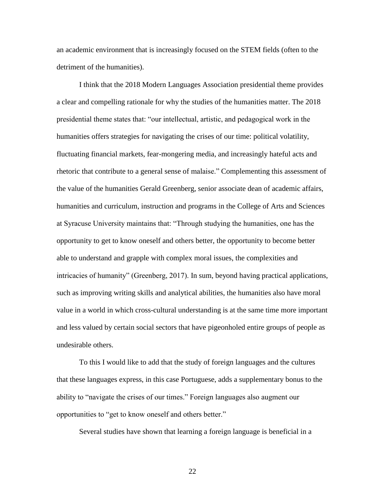an academic environment that is increasingly focused on the STEM fields (often to the detriment of the humanities).

I think that the 2018 Modern Languages Association presidential theme provides a clear and compelling rationale for why the studies of the humanities matter. The 2018 presidential theme states that: "our intellectual, artistic, and pedagogical work in the humanities offers strategies for navigating the crises of our time: political volatility, fluctuating financial markets, fear-mongering media, and increasingly hateful acts and rhetoric that contribute to a general sense of malaise." Complementing this assessment of the value of the humanities Gerald Greenberg, senior associate dean of academic affairs, humanities and curriculum, instruction and programs in the College of Arts and Sciences at Syracuse University maintains that: "Through studying the humanities, one has the opportunity to get to know oneself and others better, the opportunity to become better able to understand and grapple with complex moral issues, the complexities and intricacies of humanity" (Greenberg, 2017). In sum, beyond having practical applications, such as improving writing skills and analytical abilities, the humanities also have moral value in a world in which cross-cultural understanding is at the same time more important and less valued by certain social sectors that have pigeonholed entire groups of people as undesirable others.

To this I would like to add that the study of foreign languages and the cultures that these languages express, in this case Portuguese, adds a supplementary bonus to the ability to "navigate the crises of our times." Foreign languages also augment our opportunities to "get to know oneself and others better."

Several studies have shown that learning a foreign language is beneficial in a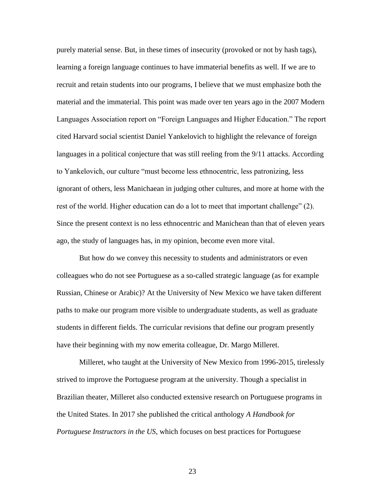purely material sense. But, in these times of insecurity (provoked or not by hash tags), learning a foreign language continues to have immaterial benefits as well. If we are to recruit and retain students into our programs, I believe that we must emphasize both the material and the immaterial. This point was made over ten years ago in the 2007 Modern Languages Association report on "Foreign Languages and Higher Education." The report cited Harvard social scientist Daniel Yankelovich to highlight the relevance of foreign languages in a political conjecture that was still reeling from the 9/11 attacks. According to Yankelovich, our culture "must become less ethnocentric, less patronizing, less ignorant of others, less Manichaean in judging other cultures, and more at home with the rest of the world. Higher education can do a lot to meet that important challenge" (2). Since the present context is no less ethnocentric and Manichean than that of eleven years ago, the study of languages has, in my opinion, become even more vital.

But how do we convey this necessity to students and administrators or even colleagues who do not see Portuguese as a so-called strategic language (as for example Russian, Chinese or Arabic)? At the University of New Mexico we have taken different paths to make our program more visible to undergraduate students, as well as graduate students in different fields. The curricular revisions that define our program presently have their beginning with my now emerita colleague, Dr. Margo Milleret.

Milleret, who taught at the University of New Mexico from 1996-2015, tirelessly strived to improve the Portuguese program at the university. Though a specialist in Brazilian theater, Milleret also conducted extensive research on Portuguese programs in the United States. In 2017 she published the critical anthology *A Handbook for Portuguese Instructors in the US*, which focuses on best practices for Portuguese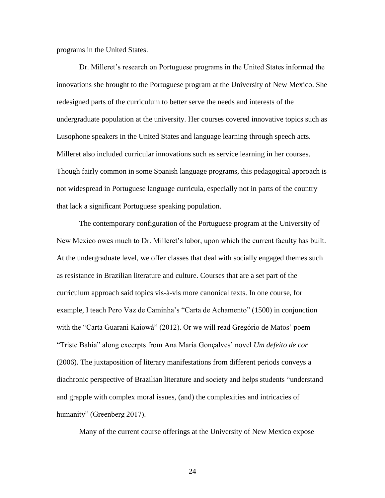programs in the United States.

Dr. Milleret's research on Portuguese programs in the United States informed the innovations she brought to the Portuguese program at the University of New Mexico. She redesigned parts of the curriculum to better serve the needs and interests of the undergraduate population at the university. Her courses covered innovative topics such as Lusophone speakers in the United States and language learning through speech acts. Milleret also included curricular innovations such as service learning in her courses. Though fairly common in some Spanish language programs, this pedagogical approach is not widespread in Portuguese language curricula, especially not in parts of the country that lack a significant Portuguese speaking population.

The contemporary configuration of the Portuguese program at the University of New Mexico owes much to Dr. Milleret's labor, upon which the current faculty has built. At the undergraduate level, we offer classes that deal with socially engaged themes such as resistance in Brazilian literature and culture. Courses that are a set part of the curriculum approach said topics vis-à-vis more canonical texts. In one course, for example, I teach Pero Vaz de Caminha's "Carta de Achamento" (1500) in conjunction with the "Carta Guarani Kaiowá" (2012). Or we will read Gregório de Matos' poem "Triste Bahia" along excerpts from Ana Maria Gonçalves' novel *Um defeito de cor* (2006). The juxtaposition of literary manifestations from different periods conveys a diachronic perspective of Brazilian literature and society and helps students "understand and grapple with complex moral issues, (and) the complexities and intricacies of humanity" (Greenberg 2017).

Many of the current course offerings at the University of New Mexico expose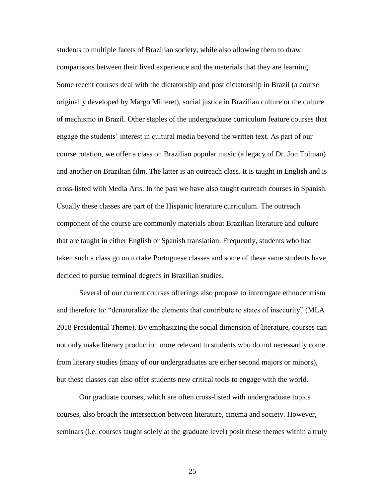students to multiple facets of Brazilian society, while also allowing them to draw comparisons between their lived experience and the materials that they are learning. Some recent courses deal with the dictatorship and post dictatorship in Brazil (a course originally developed by Margo Milleret), social justice in Brazilian culture or the culture of machismo in Brazil. Other staples of the undergraduate curriculum feature courses that engage the students' interest in cultural media beyond the written text. As part of our course rotation, we offer a class on Brazilian popular music (a legacy of Dr. Jon Tolman) and another on Brazilian film. The latter is an outreach class. It is taught in English and is cross-listed with Media Arts. In the past we have also taught outreach courses in Spanish. Usually these classes are part of the Hispanic literature curriculum. The outreach component of the course are commonly materials about Brazilian literature and culture that are taught in either English or Spanish translation. Frequently, students who had taken such a class go on to take Portuguese classes and some of these same students have decided to pursue terminal degrees in Brazilian studies.

Several of our current courses offerings also propose to interrogate ethnocentrism and therefore to: "denaturalize the elements that contribute to states of insecurity" (MLA 2018 Presidential Theme). By emphasizing the social dimension of literature, courses can not only make literary production more relevant to students who do not necessarily come from literary studies (many of our undergraduates are either second majors or minors), but these classes can also offer students new critical tools to engage with the world.

Our graduate courses, which are often cross-listed with undergraduate topics courses, also broach the intersection between literature, cinema and society. However, seminars (i.e. courses taught solely at the graduate level) posit these themes within a truly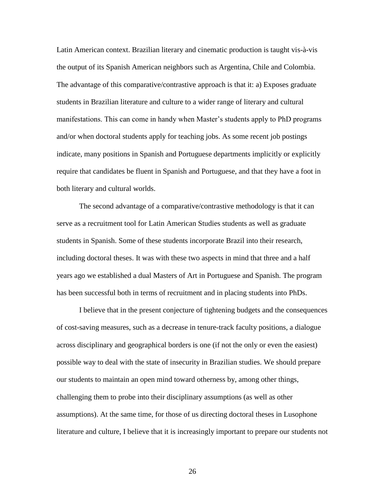Latin American context. Brazilian literary and cinematic production is taught vis-à-vis the output of its Spanish American neighbors such as Argentina, Chile and Colombia. The advantage of this comparative/contrastive approach is that it: a) Exposes graduate students in Brazilian literature and culture to a wider range of literary and cultural manifestations. This can come in handy when Master's students apply to PhD programs and/or when doctoral students apply for teaching jobs. As some recent job postings indicate, many positions in Spanish and Portuguese departments implicitly or explicitly require that candidates be fluent in Spanish and Portuguese, and that they have a foot in both literary and cultural worlds.

The second advantage of a comparative/contrastive methodology is that it can serve as a recruitment tool for Latin American Studies students as well as graduate students in Spanish. Some of these students incorporate Brazil into their research, including doctoral theses. It was with these two aspects in mind that three and a half years ago we established a dual Masters of Art in Portuguese and Spanish. The program has been successful both in terms of recruitment and in placing students into PhDs.

I believe that in the present conjecture of tightening budgets and the consequences of cost-saving measures, such as a decrease in tenure-track faculty positions, a dialogue across disciplinary and geographical borders is one (if not the only or even the easiest) possible way to deal with the state of insecurity in Brazilian studies. We should prepare our students to maintain an open mind toward otherness by, among other things, challenging them to probe into their disciplinary assumptions (as well as other assumptions). At the same time, for those of us directing doctoral theses in Lusophone literature and culture, I believe that it is increasingly important to prepare our students not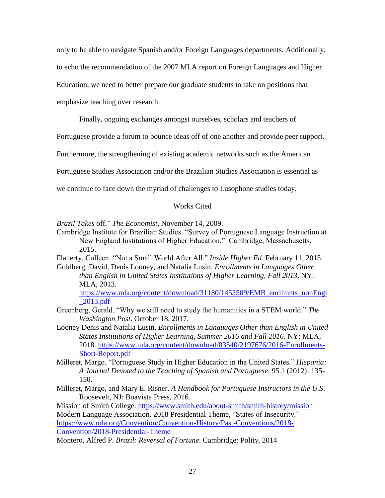only to be able to navigate Spanish and/or Foreign Languages departments. Additionally,

to echo the recommendation of the 2007 MLA report on Foreign Languages and Higher

Education, we need to better prepare our graduate students to take on positions that

emphasize teaching over research.

Finally, ongoing exchanges amongst ourselves, scholars and teachers of

Portuguese provide a forum to bounce ideas off of one another and provide peer support.

Furthermore, the strengthening of existing academic networks such as the American

Portuguese Studies Association and/or the Brazilian Studies Association is essential as

we continue to face down the myriad of challenges to Lusophone studies today.

# Works Cited

*Brazil Takes* off." *The Economist*, November 14, 2009.

Cambridge Institute for Brazilian Studies. "Survey of Portuguese Language Instruction at New England Institutions of Higher Education." Cambridge, Massachusetts, 2015.

Flaherty, Colleen. "Not a Small World After All." *Inside Higher Ed*. February 11, 2015. Goldberg, David, Denis Looney, and Natalia Lusin. *Enrollments in Languages Other* 

*than English in United States Institutions of Higher Learning, Fall 2013*. NY: MLA, 2013.

[https://www.mla.org/content/download/31180/1452509/EMB\\_enrllmnts\\_nonEngl](https://www.mla.org/content/download/31180/1452509/EMB_enrllmnts_nonEngl_2013.pdf) [\\_2013.pdf](https://www.mla.org/content/download/31180/1452509/EMB_enrllmnts_nonEngl_2013.pdf)

- Greenberg, Gerald. "Why we still need to study the humanities in a STEM world." *The Washington Post*. October 18, 2017.
- Looney Denis and Natalia Lusin. *Enrollments in Languages Other than English in United States Institutions of Higher Learning, Summer 2016 and Fall 2016*. NY: MLA, 2018. [https://www.mla.org/content/download/83540/2197676/2016-Enrollments-](https://www.mla.org/content/download/83540/2197676/2016-Enrollments-Short-Report.pdf)[Short-Report.pdf](https://www.mla.org/content/download/83540/2197676/2016-Enrollments-Short-Report.pdf)
- Milleret, Margo. "Portuguese Study in Higher Education in the United States." *Hispania: A Journal Devoted to the Teaching of Spanish and Portuguese*. 95.1 (2012): 135- 150.
- Milleret, Margo, and Mary E. Risner. *A Handbook for Portuguese Instructors in the U.S*. Roosevelt, NJ: Boavista Press, 2016.

Mission of Smith College.<https://www.smith.edu/about-smith/smith-history/mission> Modern Language Association. 2018 Presidential Theme, "States of Insecurity." [https://www.mla.org/Convention/Convention-History/Past-Conventions/2018-](https://www.mla.org/Convention/Convention-History/Past-Conventions/2018-Convention/2018-Presidential-Theme) [Convention/2018-Presidential-Theme](https://www.mla.org/Convention/Convention-History/Past-Conventions/2018-Convention/2018-Presidential-Theme)

Montero, Alfred P. *Brazil: Reversal of Fortune*. Cambridge: Polity, 2014